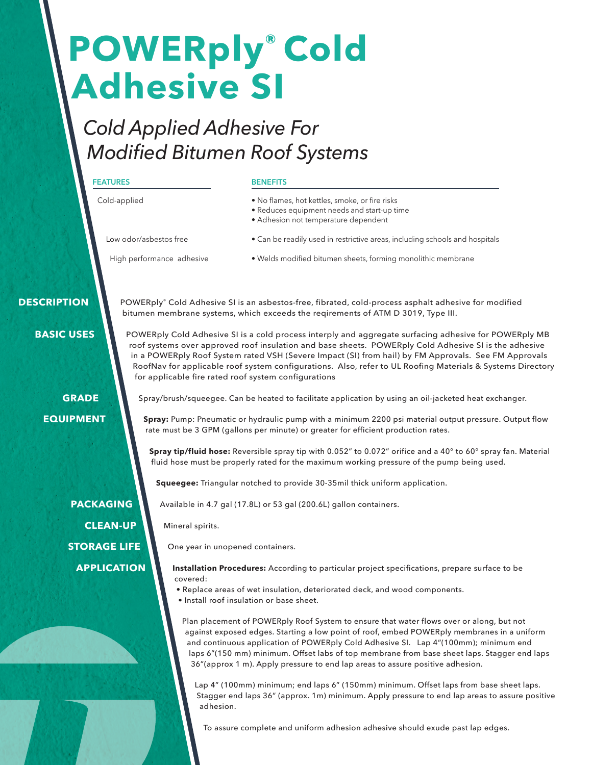# **POWERply® Cold Adhesive SI**

# *Cold Applied Adhesive For Modified Bitumen Roof Systems*

### **FEATURES**

#### **BENEFITS**

Cold-applied

- 
- • No flames, hot kettles, smoke, or fire risks • Reduces equipment needs and start-up time • Adhesion not temperature dependent

Low odor/asbestos free

• Can be readily used in restrictive areas, including schools and hospitals

High performance adhesive

• Welds modified bitumen sheets, forming monolithic membrane

 **DESCRIPTION**

POWERply® Cold Adhesive SI is an asbestos-free, fibrated, cold-process asphalt adhesive for modified bitumen membrane systems, which exceeds the reqirements of ATM D 3019, Type III.

 **BASIC USES**

 **GRADE EQUIPMENT**

> **PACKAGING CLEAN-UP STORAGE LIFE APPLICATION**

Spray/brush/squeegee. Can be heated to facilitate application by using an oil-jacketed heat exchanger.

POWERply Cold Adhesive SI is a cold process interply and aggregate surfacing adhesive for POWERply MB roof systems over approved roof insulation and base sheets. POWERply Cold Adhesive SI is the adhesive in a POWERply Roof System rated VSH (Severe Impact (SI) from hail) by FM Approvals. See FM Approvals RoofNav for applicable roof system configurations. Also, refer to UL Roofing Materials & Systems Directory

**Spray:** Pump: Pneumatic or hydraulic pump with a minimum 2200 psi material output pressure. Output flow rate must be 3 GPM (gallons per minute) or greater for efficient production rates.

**Spray tip/fluid hose:** Reversible spray tip with 0.052" to 0.072" orifice and a 40° to 60° spray fan. Material fluid hose must be properly rated for the maximum working pressure of the pump being used.

**Squeegee:** Triangular notched to provide 30-35mil thick uniform application.

Available in 4.7 gal (17.8L) or 53 gal (200.6L) gallon containers.

Mineral spirits.

One year in unopened containers.

for applicable fire rated roof system configurations

- **Installation Procedures:** According to particular project specifications, prepare surface to be covered:
- Replace areas of wet insulation, deteriorated deck, and wood components.
- Install roof insulation or base sheet.

Plan placement of POWERply Roof System to ensure that water flows over or along, but not against exposed edges. Starting a low point of roof, embed POWERply membranes in a uniform and continuous application of POWERply Cold Adhesive SI. Lap 4"(100mm); minimum end laps 6"(150 mm) minimum. Offset labs of top membrane from base sheet laps. Stagger end laps 36"(approx 1 m). Apply pressure to end lap areas to assure positive adhesion.

Lap 4" (100mm) minimum; end laps 6" (150mm) minimum. Offset laps from base sheet laps. Stagger end laps 36" (approx. 1m) minimum. Apply pressure to end lap areas to assure positive adhesion.

To assure complete and uniform adhesion adhesive should exude past lap edges.